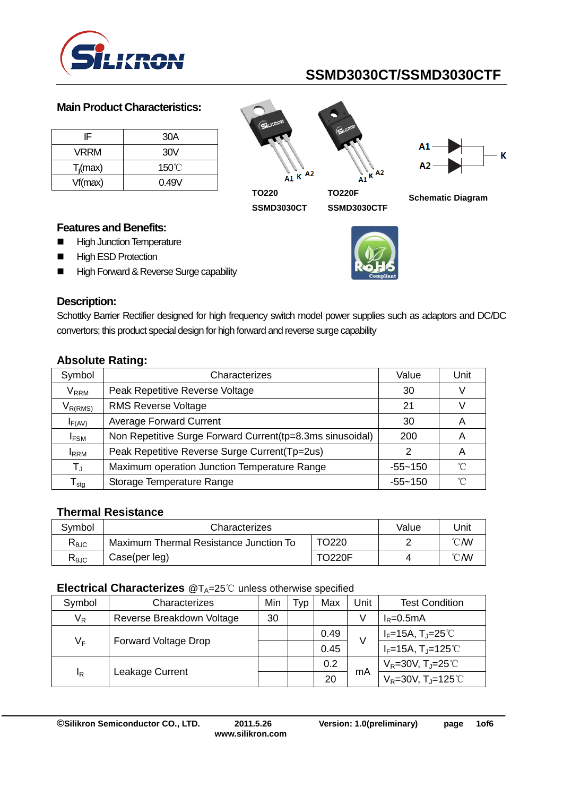

#### **Main Product Characteristics:**

| IF          | 30A             |
|-------------|-----------------|
| <b>VRRM</b> | 30V             |
| $T_i$ (max) | $150^{\circ}$ C |
| Vf(max)     | 0.49V           |

 $A1 K$  A2





**TO220 SSMD3030CT**

**TO220F SSMD3030CTF**



#### **Features and Benefits:**

- **High Junction Temperature**
- **High ESD Protection**
- High Forward & Reverse Surge capability



#### **Description:**

Schottky Barrier Rectifier designed for high frequency switch model power supplies such as adaptors and DC/DC convertors; this product special design for high forward and reverse surge capability

| Symbol                     | Characterizes                                             | Value       | Unit |
|----------------------------|-----------------------------------------------------------|-------------|------|
| $\mathsf{V}_\mathsf{RRM}$  | Peak Repetitive Reverse Voltage                           | 30          |      |
| $V_{R(RMS)}$               | <b>RMS Reverse Voltage</b>                                | 21          |      |
| $I_{F(AV)}$                | <b>Average Forward Current</b>                            | 30          | A    |
| <b>IFSM</b>                | Non Repetitive Surge Forward Current(tp=8.3ms sinusoidal) | 200         | Α    |
| <b>IRRM</b>                | Peak Repetitive Reverse Surge Current(Tp=2us)             |             | A    |
| $T_{\rm J}$                | Maximum operation Junction Temperature Range              | $-55 - 150$ | ิ่∩° |
| ${\mathsf T}_{\text{stg}}$ | Storage Temperature Range                                 | $-55 - 150$ | °∩°  |

## **Absolute Rating:**

#### **Thermal Resistance**

| Svmbol         | Characterizes                          | Value         | Unit           |                |
|----------------|----------------------------------------|---------------|----------------|----------------|
| $R_{\theta$ JC | Maximum Thermal Resistance Junction To |               | $^{\circ}$ CMV |                |
| $R_{\theta$ JC | Case(per leg)                          | <b>TO220F</b> |                | $^{\circ}$ CMV |

#### **Electrical Characterizes** @T<sub>A</sub>=25℃ unless otherwise specified

| Symbol                               | Characterizes             | Min | <b>VD</b> | Max  | Unit                           | <b>Test Condition</b>               |
|--------------------------------------|---------------------------|-----|-----------|------|--------------------------------|-------------------------------------|
| $V_R$                                | Reverse Breakdown Voltage | 30  |           |      | V                              | $I_R = 0.5mA$                       |
| $V_F$<br><b>Forward Voltage Drop</b> |                           |     | 0.49      | V    | $I_F=15A$ , $T_J=25^{\circ}$ C |                                     |
|                                      |                           |     |           | 0.45 |                                | $I_F = 15A, T_J = 125^{\circ}C$     |
| ΙR                                   | Leakage Current           |     |           | 0.2  | mA                             | $V_R = 30V, T_J = 25°C$             |
|                                      |                           |     |           | 20   |                                | $V_R = 30V$ , T <sub>J</sub> =125°C |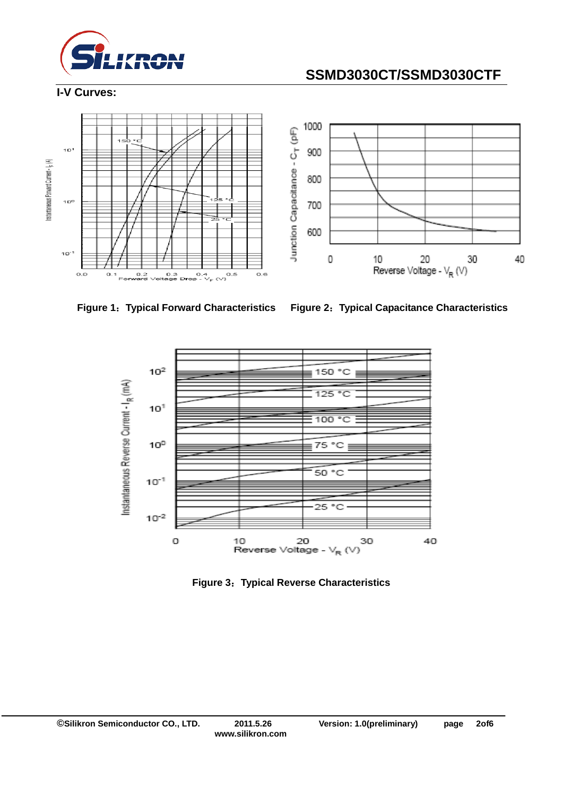

#### **I-V Curves:**









**Figure 3**:**Typical Reverse Characteristics**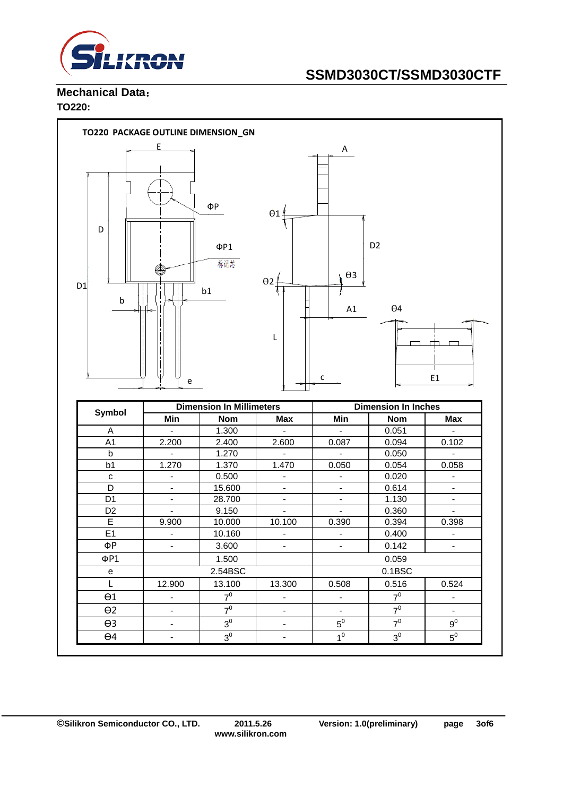

#### **Mechanical Data**: **TO220:**

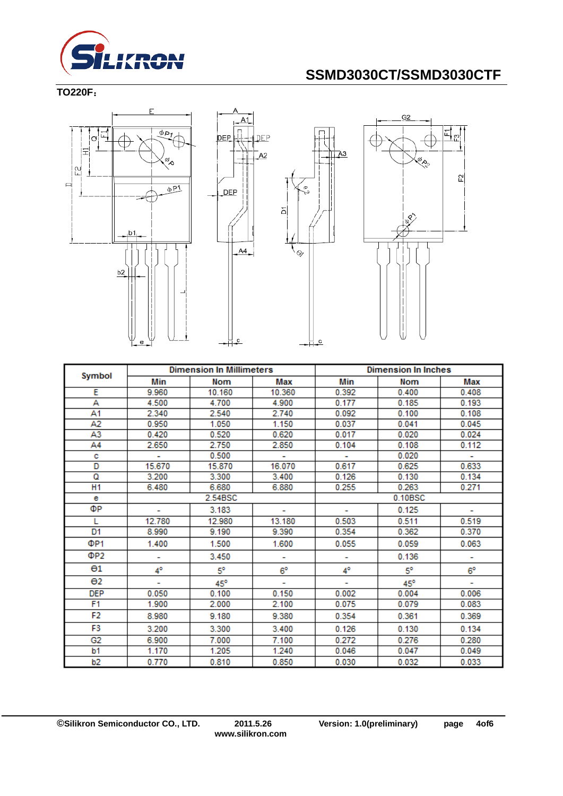

## **TO220F**:







|                       | <b>Dimension In Millimeters</b> |              | <b>Dimension In Inches</b> |       |            |             |  |
|-----------------------|---------------------------------|--------------|----------------------------|-------|------------|-------------|--|
| Symbol                | Min                             | Nom          | Max                        | Min   | Nom        | Max         |  |
| Е                     | 9.960                           | 10.160       | 10.360                     | 0.392 | 0.400      | 0.408       |  |
| А                     | 4.500                           | 4.700        | 4.900                      | 0.177 | 0.185      | 0.193       |  |
| Α1                    | 2.340                           | 2.540        | 2.740                      | 0.092 | 0.100      | 0.108       |  |
| Α2                    | 0.950                           | 1.050        | 1.150                      | 0.037 | 0.041      | 0.045       |  |
| A3                    | 0.420                           | 0.520        | 0.620                      | 0.017 | 0.020      | 0.024       |  |
| Α4                    | 2.650                           | 2.750        | 2.850                      | 0.104 | 0.108      | 0.112       |  |
| с                     |                                 | 0.500        | ٠                          |       | 0.020      | ÷.          |  |
| D                     | 15.670                          | 15.870       | 16.070                     | 0.617 | 0.625      | 0.633       |  |
| ۵                     | 3.200                           | 3.300        | 3.400                      | 0.126 | 0.130      | 0.134       |  |
| H1                    | 6.480                           | 6.680        | 6.880                      | 0.255 | 0.263      | 0.271       |  |
| е                     |                                 | 2.54BSC      |                            |       | 0.10BSC    |             |  |
| ФP                    |                                 | 3.183        |                            |       | 0.125      |             |  |
| L                     | 12.780                          | 12.980       | 13.180                     | 0.503 | 0.511      | 0.519       |  |
| D1                    | 8.990                           | 9.190        | 9.390                      | 0.354 | 0.362      | 0.370       |  |
| ΦP1                   | 1.400                           | 1.500        | 1.600                      | 0.055 | 0.059      | 0.063       |  |
| ΦP2                   | ۰                               | 3.450        | ۰                          |       | 0.136      | ۰           |  |
| $\Theta$ 1            | 4°                              | 5°           | $6^{\circ}$                | 4°    | 5°         | $6^{\circ}$ |  |
| $\Theta$ <sub>2</sub> | ۰                               | $45^{\circ}$ |                            |       | $45^\circ$ |             |  |
| <b>DEP</b>            | 0.050                           | 0.100        | 0.150                      | 0.002 | 0.004      | 0.006       |  |
| F1                    | 1.900                           | 2.000        | 2.100                      | 0.075 | 0.079      | 0.083       |  |
| F2                    | 8.980                           | 9.180        | 9.380                      | 0.354 | 0.361      | 0.369       |  |
| F3                    | 3.200                           | 3.300        | 3.400                      | 0.126 | 0.130      | 0.134       |  |
| G <sub>2</sub>        | 6.900                           | 7.000        | 7.100                      | 0.272 | 0.276      | 0.280       |  |
| b1                    | 1.170                           | 1.205        | 1.240                      | 0.046 | 0.047      | 0.049       |  |
| b2                    | 0.770                           | 0.810        | 0.850                      | 0.030 | 0.032      | 0.033       |  |

 $\overline{c}$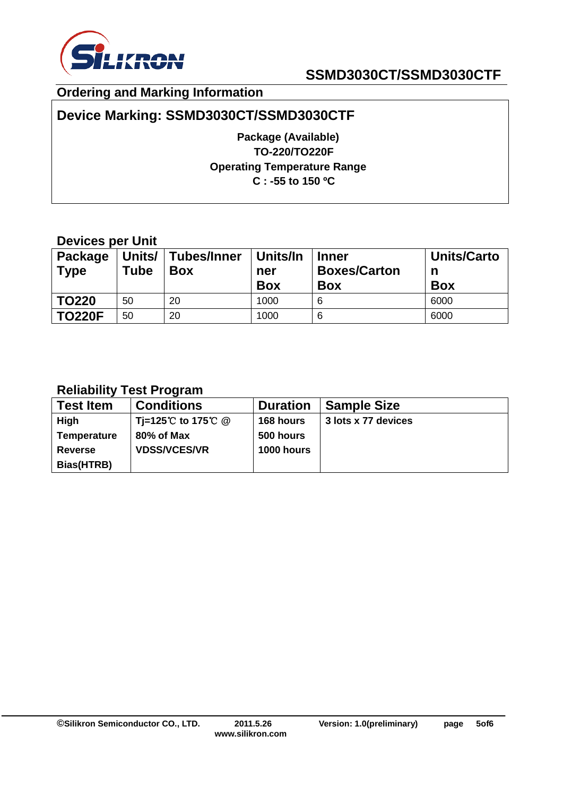

## **Ordering and Marking Information**

## **Device Marking: SSMD3030CT/SSMD3030CTF**

**Package (Available) TO-220/TO220F Operating Temperature Range C : -55 to 150 ºC**

## **Devices per Unit**

| Package<br><b>Type</b> | Units/<br>Tube | Tubes/Inner<br><b>Box</b> | Units/In<br>ner<br><b>Box</b> | <b>Inner</b><br><b>Boxes/Carton</b><br><b>Box</b> | <b>Units/Carto</b><br>n<br><b>Box</b> |
|------------------------|----------------|---------------------------|-------------------------------|---------------------------------------------------|---------------------------------------|
| <b>TO220</b>           | 50             | 20                        | 1000                          | 6                                                 | 6000                                  |
| <b>TO220F</b>          | 50             | 20                        | 1000                          | 6                                                 | 6000                                  |

## **Reliability Test Program**

| <b>Test Item</b>   | <b>Conditions</b>   | <b>Duration</b> | <b>Sample Size</b>  |
|--------------------|---------------------|-----------------|---------------------|
| High               | Ti=125℃ to 175℃ @   | 168 hours       | 3 lots x 77 devices |
| <b>Temperature</b> | 80% of Max          | 500 hours       |                     |
| <b>Reverse</b>     | <b>VDSS/VCES/VR</b> | 1000 hours      |                     |
| Bias(HTRB)         |                     |                 |                     |